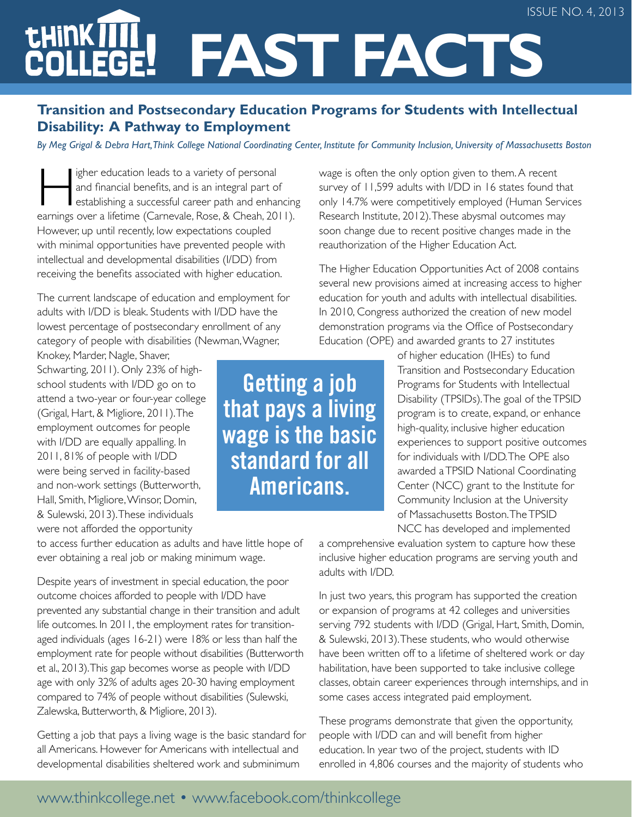#### issue NO. 4, 2013

# **tHiNKT Fast Facts**

### **Transition and Postsecondary Education Programs for Students with Intellectual Disability: A Pathway to Employment**

*By Meg Grigal & Debra Hart, Think College National Coordinating Center, Institute for Community Inclusion, University of Massachusetts Boston*

igher education leads to a variety of personal<br>and financial benefits, and is an integral part of<br>establishing a successful career path and enhanced<br>arrings over a lifetime (Carnevale Bose & Cheab 20 and financial benefits, and is an integral part of establishing a successful career path and enhancing earnings over a lifetime (Carnevale, Rose, & Cheah, 2011). However, up until recently, low expectations coupled with minimal opportunities have prevented people with intellectual and developmental disabilities (I/DD) from receiving the benefits associated with higher education.

The current landscape of education and employment for adults with I/DD is bleak. Students with I/DD have the lowest percentage of postsecondary enrollment of any category of people with disabilities (Newman, Wagner,

Knokey, Marder, Nagle, Shaver, Schwarting, 2011). Only 23% of highschool students with I/DD go on to attend a two-year or four-year college (Grigal, Hart, & Migliore, 2011). The employment outcomes for people with I/DD are equally appalling. In 2011, 81% of people with I/DD were being served in facility-based and non-work settings (Butterworth, Hall, Smith, Migliore, Winsor, Domin, & Sulewski, 2013). These individuals were not afforded the opportunity

to access further education as adults and have little hope of ever obtaining a real job or making minimum wage.

Despite years of investment in special education, the poor outcome choices afforded to people with I/DD have prevented any substantial change in their transition and adult life outcomes. In 2011, the employment rates for transitionaged individuals (ages 16-21) were 18% or less than half the employment rate for people without disabilities (Butterworth et al., 2013). This gap becomes worse as people with I/DD age with only 32% of adults ages 20-30 having employment compared to 74% of people without disabilities (Sulewski, Zalewska, Butterworth, & Migliore, 2013).

Getting a job that pays a living wage is the basic standard for all Americans. However for Americans with intellectual and developmental disabilities sheltered work and subminimum

only 14.7% were competitively employed (Human Services Research Institute, 2012). These abysmal outcomes may soon change due to recent positive changes made in the reauthorization of the Higher Education Act. The Higher Education Opportunities Act of 2008 contains

wage is often the only option given to them. A recent survey of 11,599 adults with I/DD in 16 states found that

several new provisions aimed at increasing access to higher education for youth and adults with intellectual disabilities. In 2010, Congress authorized the creation of new model demonstration programs via the Office of Postsecondary Education (OPE) and awarded grants to 27 institutes

> of higher education (IHEs) to fund Transition and Postsecondary Education Programs for Students with Intellectual Disability (TPSIDs). The goal of the TPSID program is to create, expand, or enhance high-quality, inclusive higher education experiences to support positive outcomes for individuals with I/DD. The OPE also awarded a TPSID National Coordinating Center (NCC) grant to the Institute for Community Inclusion at the University of Massachusetts Boston. The TPSID NCC has developed and implemented

a comprehensive evaluation system to capture how these inclusive higher education programs are serving youth and adults with I/DD.

In just two years, this program has supported the creation or expansion of programs at 42 colleges and universities serving 792 students with I/DD (Grigal, Hart, Smith, Domin, & Sulewski, 2013). These students, who would otherwise have been written off to a lifetime of sheltered work or day habilitation, have been supported to take inclusive college classes, obtain career experiences through internships, and in some cases access integrated paid employment.

These programs demonstrate that given the opportunity, people with I/DD can and will benefit from higher education. In year two of the project, students with ID enrolled in 4,806 courses and the majority of students who

**Getting a job that pays a living wage is the basic standard for all Americans.**